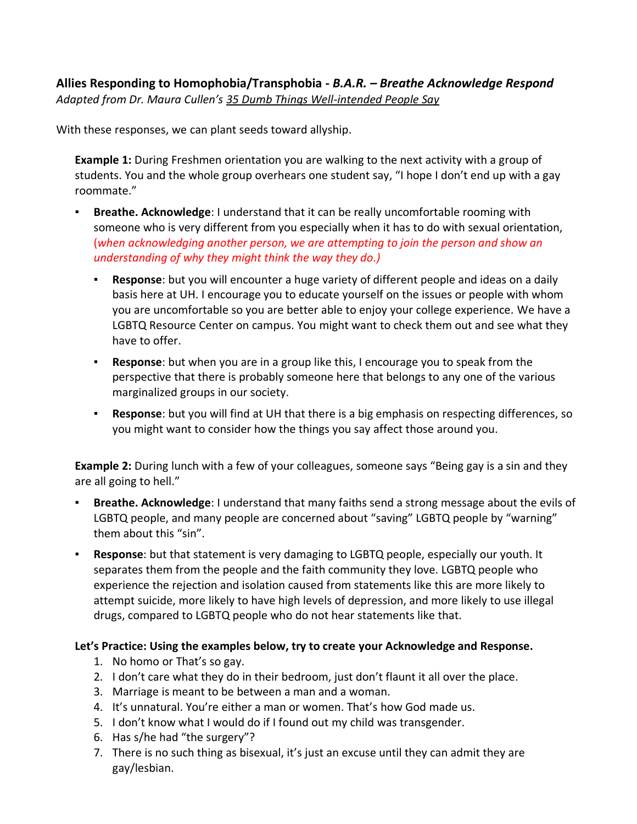## **Allies Responding to Homophobia/Transphobia -** *B.A.R. – Breathe Acknowledge Respond Adapted from Dr. Maura Cullen's 35 Dumb Things Well-intended People Say*

With these responses, we can plant seeds toward allyship.

**Example 1:** During Freshmen orientation you are walking to the next activity with a group of students. You and the whole group overhears one student say, "I hope I don't end up with a gay roommate."

- **Breathe. Acknowledge:** I understand that it can be really uncomfortable rooming with someone who is very different from you especially when it has to do with sexual orientation, (*when acknowledging another person, we are attempting to join the person and show an understanding of why they might think the way they do.)*
	- **Response**: but you will encounter a huge variety of different people and ideas on a daily basis here at UH. I encourage you to educate yourself on the issues or people with whom you are uncomfortable so you are better able to enjoy your college experience. We have a LGBTQ Resource Center on campus. You might want to check them out and see what they have to offer.
	- **Response**: but when you are in a group like this, I encourage you to speak from the perspective that there is probably someone here that belongs to any one of the various marginalized groups in our society.
	- **Response**: but you will find at UH that there is a big emphasis on respecting differences, so you might want to consider how the things you say affect those around you.

**Example 2:** During lunch with a few of your colleagues, someone says "Being gay is a sin and they are all going to hell."

- **Breathe. Acknowledge:** I understand that many faiths send a strong message about the evils of LGBTQ people, and many people are concerned about "saving" LGBTQ people by "warning" them about this "sin".
- **Response**: but that statement is very damaging to LGBTQ people, especially our youth. It separates them from the people and the faith community they love. LGBTQ people who experience the rejection and isolation caused from statements like this are more likely to attempt suicide, more likely to have high levels of depression, and more likely to use illegal drugs, compared to LGBTQ people who do not hear statements like that.

## **Let's Practice: Using the examples below, try to create your Acknowledge and Response.**

- 1. No homo or That's so gay.
- 2. I don't care what they do in their bedroom, just don't flaunt it all over the place.
- 3. Marriage is meant to be between a man and a woman.
- 4. It's unnatural. You're either a man or women. That's how God made us.
- 5. I don't know what I would do if I found out my child was transgender.
- 6. Has s/he had "the surgery"?
- 7. There is no such thing as bisexual, it's just an excuse until they can admit they are gay/lesbian.